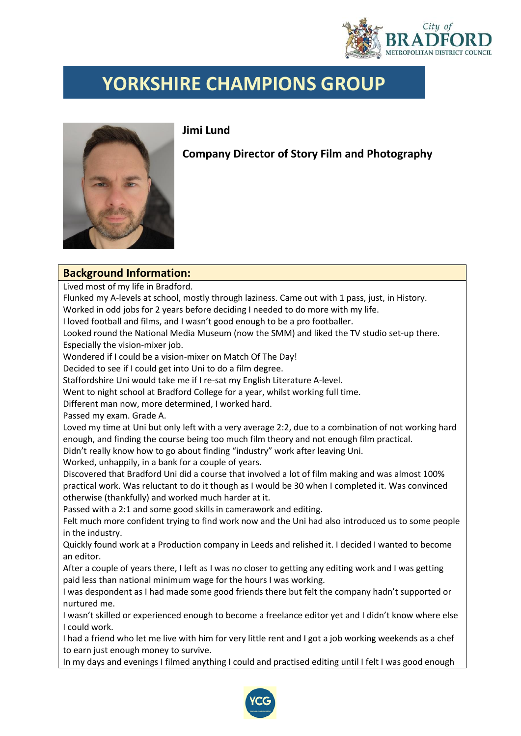

## **YORKSHIRE CHAMPIONS GROUP**

**Jimi Lund**

**Company Director of Story Film and Photography**

## **Background Information:**

Lived most of my life in Bradford.

Flunked my A-levels at school, mostly through laziness. Came out with 1 pass, just, in History. Worked in odd jobs for 2 years before deciding I needed to do more with my life.

I loved football and films, and I wasn't good enough to be a pro footballer.

Looked round the National Media Museum (now the SMM) and liked the TV studio set-up there. Especially the vision-mixer job.

Wondered if I could be a vision-mixer on Match Of The Day!

Decided to see if I could get into Uni to do a film degree.

Staffordshire Uni would take me if I re-sat my English Literature A-level.

Went to night school at Bradford College for a year, whilst working full time.

Different man now, more determined, I worked hard.

Passed my exam. Grade A.

Loved my time at Uni but only left with a very average 2:2, due to a combination of not working hard enough, and finding the course being too much film theory and not enough film practical.

Didn't really know how to go about finding "industry" work after leaving Uni.

Worked, unhappily, in a bank for a couple of years.

Discovered that Bradford Uni did a course that involved a lot of film making and was almost 100% practical work. Was reluctant to do it though as I would be 30 when I completed it. Was convinced otherwise (thankfully) and worked much harder at it.

Passed with a 2:1 and some good skills in camerawork and editing.

Felt much more confident trying to find work now and the Uni had also introduced us to some people in the industry.

Quickly found work at a Production company in Leeds and relished it. I decided I wanted to become an editor.

After a couple of years there, I left as I was no closer to getting any editing work and I was getting paid less than national minimum wage for the hours I was working.

I was despondent as I had made some good friends there but felt the company hadn't supported or nurtured me.

I wasn't skilled or experienced enough to become a freelance editor yet and I didn't know where else I could work.

I had a friend who let me live with him for very little rent and I got a job working weekends as a chef to earn just enough money to survive.

In my days and evenings I filmed anything I could and practised editing until I felt I was good enough